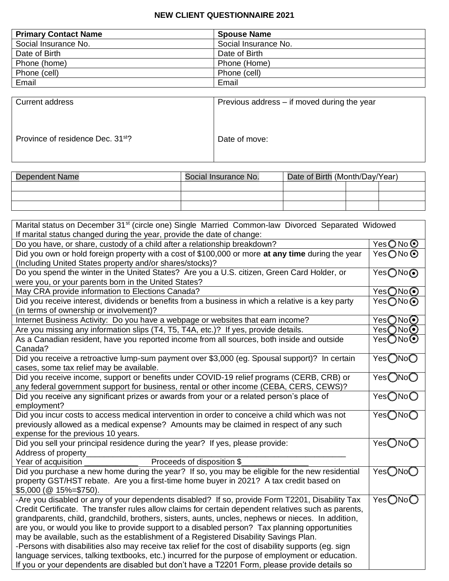## **NEW CLIENT QUESTIONNAIRE 2021**

| <b>Primary Contact Name</b> | <b>Spouse Name</b>   |
|-----------------------------|----------------------|
| Social Insurance No.        | Social Insurance No. |
| Date of Birth               | Date of Birth        |
| Phone (home)                | Phone (Home)         |
| Phone (cell)                | Phone (cell)         |
| Email                       | Email                |

| Current address                               | Previous address – if moved during the year |
|-----------------------------------------------|---------------------------------------------|
| Province of residence Dec. 31 <sup>st</sup> ? | Date of move:                               |

| <b>Dependent Name</b> | Social Insurance No. | Date of Birth (Month/Day/Year) |  |  |
|-----------------------|----------------------|--------------------------------|--|--|
|                       |                      |                                |  |  |
|                       |                      |                                |  |  |
|                       |                      |                                |  |  |

| Marital status on December 31 <sup>st</sup> (circle one) Single Married Common-law Divorced Separated Widowed<br>If marital status changed during the year, provide the date of change:                  |                      |  |
|----------------------------------------------------------------------------------------------------------------------------------------------------------------------------------------------------------|----------------------|--|
| Do you have, or share, custody of a child after a relationship breakdown?                                                                                                                                | Yes○No⊙              |  |
| Did you own or hold foreign property with a cost of \$100,000 or more at any time during the year                                                                                                        | Yes○No⊙              |  |
| (Including United States property and/or shares/stocks)?                                                                                                                                                 |                      |  |
| Do you spend the winter in the United States? Are you a U.S. citizen, Green Card Holder, or                                                                                                              | Yes ONo <sup>O</sup> |  |
| were you, or your parents born in the United States?                                                                                                                                                     |                      |  |
| May CRA provide information to Elections Canada?                                                                                                                                                         | YesONoO              |  |
| Did you receive interest, dividends or benefits from a business in which a relative is a key party                                                                                                       | Yes ONo O            |  |
| (in terms of ownership or involvement)?                                                                                                                                                                  |                      |  |
| Internet Business Activity: Do you have a webpage or websites that earn income?                                                                                                                          | YesONo               |  |
| Are you missing any information slips (T4, T5, T4A, etc.)? If yes, provide details.                                                                                                                      | Yes◯No⊙              |  |
| As a Canadian resident, have you reported income from all sources, both inside and outside<br>Canada?                                                                                                    | YesONoO              |  |
| Did you receive a retroactive lump-sum payment over \$3,000 (eg. Spousal support)? In certain<br>cases, some tax relief may be available.                                                                | Yes ONoO             |  |
| Did you receive income, support or benefits under COVID-19 relief programs (CERB, CRB) or                                                                                                                | Yes ONoO             |  |
| any federal government support for business, rental or other income (CEBA, CERS, CEWS)?                                                                                                                  |                      |  |
| Did you receive any significant prizes or awards from your or a related person's place of<br>employment?                                                                                                 | YesONoO              |  |
| Did you incur costs to access medical intervention in order to conceive a child which was not                                                                                                            | YesONoO              |  |
| previously allowed as a medical expense? Amounts may be claimed in respect of any such                                                                                                                   |                      |  |
| expense for the previous 10 years.                                                                                                                                                                       |                      |  |
| Did you sell your principal residence during the year? If yes, please provide:                                                                                                                           | YesONoO              |  |
| Address of property                                                                                                                                                                                      |                      |  |
| Proceeds of disposition \$<br>Year of acquisition                                                                                                                                                        |                      |  |
| Did you purchase a new home during the year? If so, you may be eligible for the new residential                                                                                                          | YesONoO              |  |
| property GST/HST rebate. Are you a first-time home buyer in 2021? A tax credit based on                                                                                                                  |                      |  |
| $$5,000 \; (\textcircled{2} \; 15\% = $750).$                                                                                                                                                            |                      |  |
| -Are you disabled or any of your dependents disabled? If so, provide Form T2201, Disability Tax                                                                                                          | YesONoO              |  |
| Credit Certificate. The transfer rules allow claims for certain dependent relatives such as parents,                                                                                                     |                      |  |
| grandparents, child, grandchild, brothers, sisters, aunts, uncles, nephews or nieces. In addition,                                                                                                       |                      |  |
| are you, or would you like to provide support to a disabled person? Tax planning opportunities                                                                                                           |                      |  |
| may be available, such as the establishment of a Registered Disability Savings Plan.                                                                                                                     |                      |  |
| -Persons with disabilities also may receive tax relief for the cost of disability supports (eg. sign<br>language services, talking textbooks, etc.) incurred for the purpose of employment or education. |                      |  |
| If you or your dependents are disabled but don't have a T2201 Form, please provide details so                                                                                                            |                      |  |
|                                                                                                                                                                                                          |                      |  |